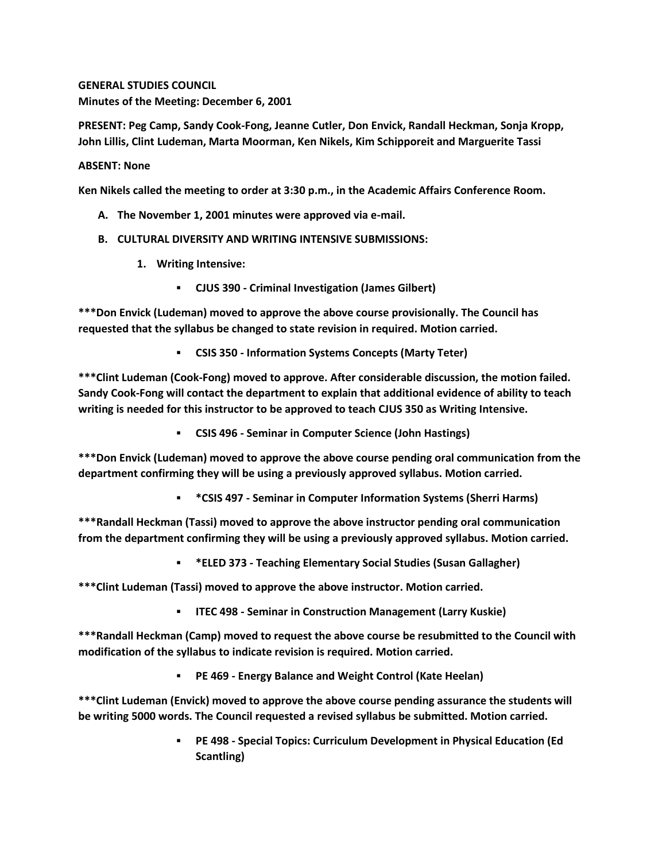**GENERAL STUDIES COUNCIL Minutes of the Meeting: December 6, 2001**

**PRESENT: Peg Camp, Sandy Cook-Fong, Jeanne Cutler, Don Envick, Randall Heckman, Sonja Kropp, John Lillis, Clint Ludeman, Marta Moorman, Ken Nikels, Kim Schipporeit and Marguerite Tassi**

## **ABSENT: None**

**Ken Nikels called the meeting to order at 3:30 p.m., in the Academic Affairs Conference Room.**

- **A. The November 1, 2001 minutes were approved via e-mail.**
- **B. CULTURAL DIVERSITY AND WRITING INTENSIVE SUBMISSIONS:**
	- **1. Writing Intensive:** 
		- **CJUS 390 - Criminal Investigation (James Gilbert)**

**\*\*\*Don Envick (Ludeman) moved to approve the above course provisionally. The Council has requested that the syllabus be changed to state revision in required. Motion carried.** 

**CSIS 350 - Information Systems Concepts (Marty Teter)**

**\*\*\*Clint Ludeman (Cook-Fong) moved to approve. After considerable discussion, the motion failed. Sandy Cook-Fong will contact the department to explain that additional evidence of ability to teach writing is needed for this instructor to be approved to teach CJUS 350 as Writing Intensive.** 

**CSIS 496 - Seminar in Computer Science (John Hastings)**

**\*\*\*Don Envick (Ludeman) moved to approve the above course pending oral communication from the department confirming they will be using a previously approved syllabus. Motion carried.**

**\*CSIS 497 - Seminar in Computer Information Systems (Sherri Harms)**

**\*\*\*Randall Heckman (Tassi) moved to approve the above instructor pending oral communication from the department confirming they will be using a previously approved syllabus. Motion carried.**

**\*ELED 373 - Teaching Elementary Social Studies (Susan Gallagher)**

**\*\*\*Clint Ludeman (Tassi) moved to approve the above instructor. Motion carried.**

**ITEC 498 - Seminar in Construction Management (Larry Kuskie)**

**\*\*\*Randall Heckman (Camp) moved to request the above course be resubmitted to the Council with modification of the syllabus to indicate revision is required. Motion carried.**

**PE 469 - Energy Balance and Weight Control (Kate Heelan)**

**\*\*\*Clint Ludeman (Envick) moved to approve the above course pending assurance the students will be writing 5000 words. The Council requested a revised syllabus be submitted. Motion carried.**

> **PE 498 - Special Topics: Curriculum Development in Physical Education (Ed Scantling)**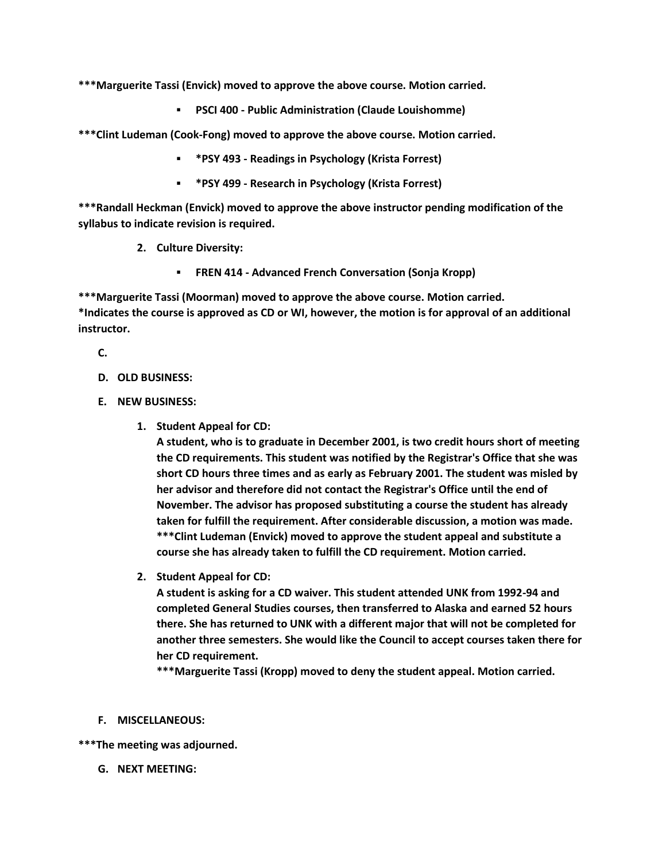**\*\*\*Marguerite Tassi (Envick) moved to approve the above course. Motion carried.**

**PSCI 400 - Public Administration (Claude Louishomme)**

**\*\*\*Clint Ludeman (Cook-Fong) moved to approve the above course. Motion carried.** 

- **\*PSY 493 - Readings in Psychology (Krista Forrest)**
- **\*PSY 499 - Research in Psychology (Krista Forrest)**

**\*\*\*Randall Heckman (Envick) moved to approve the above instructor pending modification of the syllabus to indicate revision is required.**

- **2. Culture Diversity:** 
	- **FREN 414 - Advanced French Conversation (Sonja Kropp)**

**\*\*\*Marguerite Tassi (Moorman) moved to approve the above course. Motion carried. \*Indicates the course is approved as CD or WI, however, the motion is for approval of an additional instructor.**

**C.**

- **D. OLD BUSINESS:**
- **E. NEW BUSINESS:**
	- **1. Student Appeal for CD:**

**A student, who is to graduate in December 2001, is two credit hours short of meeting the CD requirements. This student was notified by the Registrar's Office that she was short CD hours three times and as early as February 2001. The student was misled by her advisor and therefore did not contact the Registrar's Office until the end of November. The advisor has proposed substituting a course the student has already taken for fulfill the requirement. After considerable discussion, a motion was made. \*\*\*Clint Ludeman (Envick) moved to approve the student appeal and substitute a course she has already taken to fulfill the CD requirement. Motion carried.**

**2. Student Appeal for CD:**

**A student is asking for a CD waiver. This student attended UNK from 1992-94 and completed General Studies courses, then transferred to Alaska and earned 52 hours there. She has returned to UNK with a different major that will not be completed for another three semesters. She would like the Council to accept courses taken there for her CD requirement.**

**\*\*\*Marguerite Tassi (Kropp) moved to deny the student appeal. Motion carried.**

**F. MISCELLANEOUS:**

**\*\*\*The meeting was adjourned.**

**G. NEXT MEETING:**